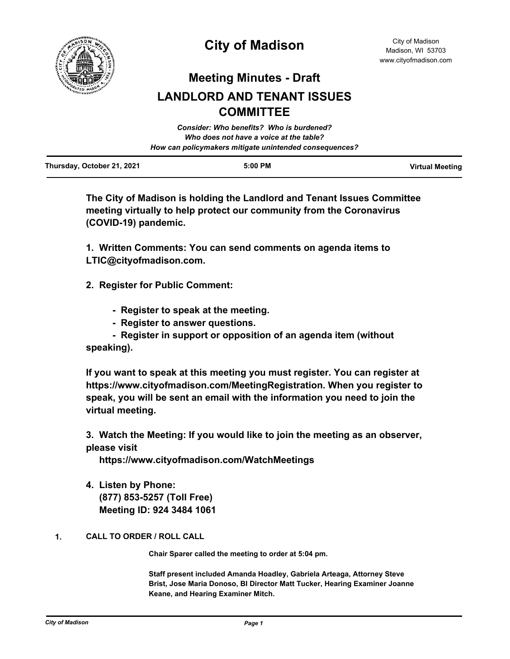

## **City of Madison**

### **Meeting Minutes - Draft**

# **LANDLORD AND TENANT ISSUES COMMITTEE**

|                            | Consider: Who benefits? Who is burdened?               |                        |
|----------------------------|--------------------------------------------------------|------------------------|
|                            | Who does not have a voice at the table?                |                        |
|                            | How can policymakers mitigate unintended consequences? |                        |
| Thursday, October 21, 2021 | $5:00$ PM                                              | <b>Virtual Meeting</b> |

**The City of Madison is holding the Landlord and Tenant Issues Committee meeting virtually to help protect our community from the Coronavirus (COVID-19) pandemic.**

**1. Written Comments: You can send comments on agenda items to LTIC@cityofmadison.com.**

**2. Register for Public Comment:**

- **Register to speak at the meeting.**
- **Register to answer questions.**

 **- Register in support or opposition of an agenda item (without speaking).**

**If you want to speak at this meeting you must register. You can register at https://www.cityofmadison.com/MeetingRegistration. When you register to speak, you will be sent an email with the information you need to join the virtual meeting.**

**3. Watch the Meeting: If you would like to join the meeting as an observer, please visit** 

 **https://www.cityofmadison.com/WatchMeetings**

**4. Listen by Phone: (877) 853-5257 (Toll Free) Meeting ID: 924 3484 1061**

### **1. CALL TO ORDER / ROLL CALL**

**Chair Sparer called the meeting to order at 5:04 pm.** 

**Staff present included Amanda Hoadley, Gabriela Arteaga, Attorney Steve Brist, Jose Maria Donoso, BI Director Matt Tucker, Hearing Examiner Joanne Keane, and Hearing Examiner Mitch.**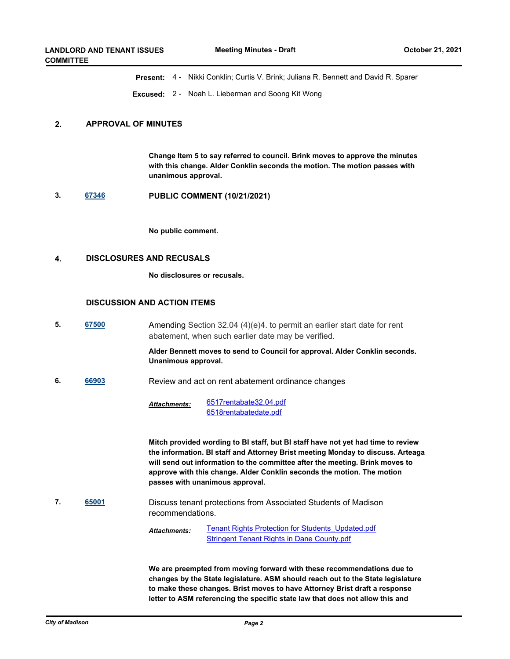**Present:** 4 - Nikki Conklin; Curtis V. Brink; Juliana R. Bennett and David R. Sparer

**Excused:** 2 - Noah L. Lieberman and Soong Kit Wong

#### **2. APPROVAL OF MINUTES**

**Change Item 5 to say referred to council. Brink moves to approve the minutes with this change. Alder Conklin seconds the motion. The motion passes with unanimous approval.**

**3. [67346](http://madison.legistar.com/gateway.aspx?m=l&id=/matter.aspx?key=79271) PUBLIC COMMENT (10/21/2021)**

**No public comment.**

#### **4. DISCLOSURES AND RECUSALS**

**No disclosures or recusals.**

#### **DISCUSSION AND ACTION ITEMS**

**5. [67500](http://madison.legistar.com/gateway.aspx?m=l&id=/matter.aspx?key=79397)** Amending Section 32.04 (4)(e)4. to permit an earlier start date for rent abatement, when such earlier date may be verified.

#### **Alder Bennett moves to send to Council for approval. Alder Conklin seconds. Unanimous approval.**

**6. [66903](http://madison.legistar.com/gateway.aspx?m=l&id=/matter.aspx?key=78938)** Review and act on rent abatement ordinance changes

[6517rentabate32.04.pdf](http://madison.legistar.com/gateway.aspx?M=F&ID=b0413d50-0624-4b23-8a9c-a89f653a50e8.pdf) [6518rentabatedate.pdf](http://madison.legistar.com/gateway.aspx?M=F&ID=14bf1e7f-5064-4723-aea2-82dc2500daf2.pdf) *Attachments:*

**Mitch provided wording to BI staff, but BI staff have not yet had time to review the information. BI staff and Attorney Brist meeting Monday to discuss. Arteaga will send out information to the committee after the meeting. Brink moves to approve with this change. Alder Conklin seconds the motion. The motion passes with unanimous approval.**

**7. [65001](http://madison.legistar.com/gateway.aspx?m=l&id=/matter.aspx?key=75258)** Discuss tenant protections from Associated Students of Madison recommendations.

> **[Tenant Rights Protection for Students\\_Updated.pdf](http://madison.legistar.com/gateway.aspx?M=F&ID=69c59bf0-00ed-43e1-9d71-4cd7fa1a2713.pdf)** [Stringent Tenant Rights in Dane County.pdf](http://madison.legistar.com/gateway.aspx?M=F&ID=33482a42-1cd0-4de0-b7ff-94091c293f51.pdf) *Attachments:*

**We are preempted from moving forward with these recommendations due to changes by the State legislature. ASM should reach out to the State legislature to make these changes. Brist moves to have Attorney Brist draft a response letter to ASM referencing the specific state law that does not allow this and**